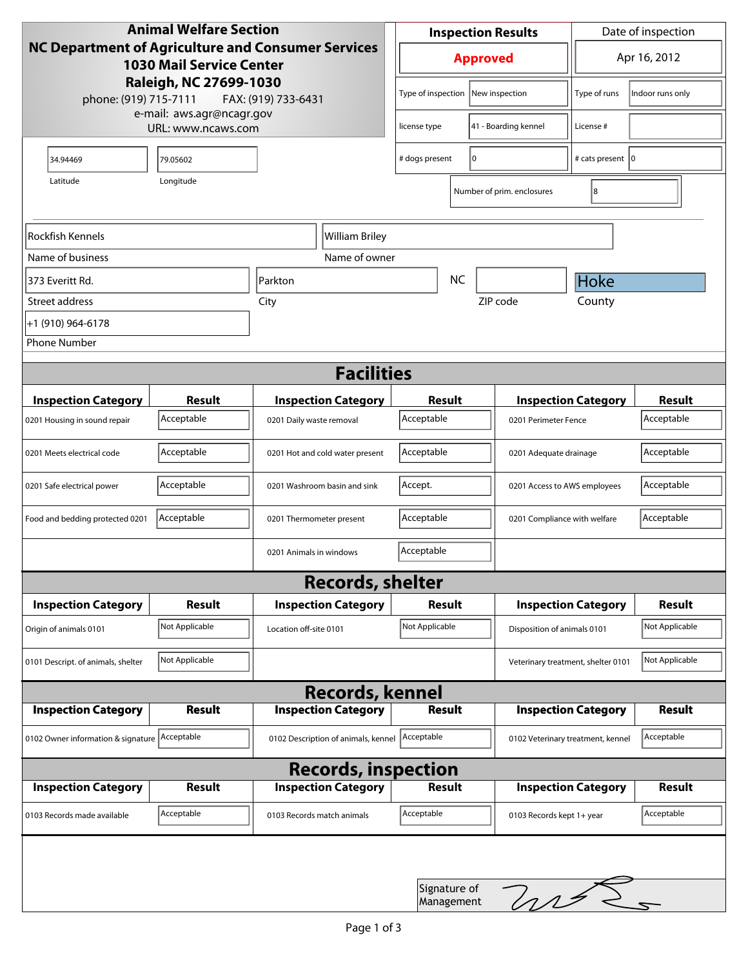| <b>Animal Welfare Section</b><br><b>NC Department of Agriculture and Consumer Services</b><br><b>1030 Mail Service Center</b> |                        |                                     | <b>Inspection Results</b>                  |    |                                    | Date of inspection         |                |
|-------------------------------------------------------------------------------------------------------------------------------|------------------------|-------------------------------------|--------------------------------------------|----|------------------------------------|----------------------------|----------------|
|                                                                                                                               |                        |                                     | <b>Approved</b>                            |    |                                    | Apr 16, 2012               |                |
| phone: (919) 715-7111                                                                                                         | Raleigh, NC 27699-1030 | FAX: (919) 733-6431                 | Type of inspection<br>New inspection       |    | Type of runs                       | Indoor runs only           |                |
| e-mail: aws.agr@ncagr.gov<br>URL: www.ncaws.com                                                                               |                        |                                     | license type                               |    | 41 - Boarding kennel               | License #                  |                |
| 34.94469                                                                                                                      | 79.05602               |                                     | # dogs present                             | 10 |                                    | # cats present   0         |                |
| Latitude                                                                                                                      | Longitude              |                                     |                                            |    | Number of prim. enclosures         | 8                          |                |
| Rockfish Kennels                                                                                                              | William Briley         |                                     |                                            |    |                                    |                            |                |
| Name of business                                                                                                              | Name of owner          |                                     |                                            |    |                                    |                            |                |
| 373 Everitt Rd.                                                                                                               |                        | <b>NC</b><br>Parkton                |                                            |    |                                    | Hoke                       |                |
| Street address                                                                                                                |                        | City                                |                                            |    | ZIP code                           | County                     |                |
| +1 (910) 964-6178                                                                                                             |                        |                                     |                                            |    |                                    |                            |                |
| <b>Phone Number</b>                                                                                                           |                        |                                     |                                            |    |                                    |                            |                |
| <b>Facilities</b>                                                                                                             |                        |                                     |                                            |    |                                    |                            |                |
| <b>Inspection Category</b>                                                                                                    | <b>Result</b>          | <b>Inspection Category</b>          | <b>Result</b>                              |    |                                    | <b>Inspection Category</b> | Result         |
| 0201 Housing in sound repair                                                                                                  | Acceptable             | 0201 Daily waste removal            | Acceptable                                 |    | 0201 Perimeter Fence               |                            | Acceptable     |
| 0201 Meets electrical code                                                                                                    | Acceptable             | 0201 Hot and cold water present     | Acceptable                                 |    | 0201 Adequate drainage             |                            | Acceptable     |
| 0201 Safe electrical power                                                                                                    | Acceptable             | 0201 Washroom basin and sink        | Accept.                                    |    | 0201 Access to AWS employees       |                            | Acceptable     |
| Food and bedding protected 0201                                                                                               | Acceptable             | 0201 Thermometer present            | Acceptable<br>0201 Compliance with welfare |    |                                    | Acceptable                 |                |
|                                                                                                                               |                        | 0201 Animals in windows             | Acceptable                                 |    |                                    |                            |                |
| <b>Records, shelter</b>                                                                                                       |                        |                                     |                                            |    |                                    |                            |                |
| <b>Inspection Category</b>                                                                                                    | <b>Result</b>          | <b>Inspection Category</b>          | <b>Result</b>                              |    |                                    | <b>Inspection Category</b> | Result         |
| Origin of animals 0101                                                                                                        | Not Applicable         | Location off-site 0101              | Not Applicable                             |    | Disposition of animals 0101        |                            | Not Applicable |
| 0101 Descript. of animals, shelter                                                                                            | Not Applicable         |                                     |                                            |    | Veterinary treatment, shelter 0101 |                            | Not Applicable |
| <b>Records, kennel</b>                                                                                                        |                        |                                     |                                            |    |                                    |                            |                |
| <b>Inspection Category</b>                                                                                                    | <b>Result</b>          | <b>Inspection Category</b>          | <b>Result</b>                              |    |                                    | <b>Inspection Category</b> | Result         |
| 0102 Owner information & signature Acceptable                                                                                 |                        | 0102 Description of animals, kennel | Acceptable                                 |    | 0102 Veterinary treatment, kennel  |                            | Acceptable     |
| <b>Records, inspection</b>                                                                                                    |                        |                                     |                                            |    |                                    |                            |                |
| <b>Inspection Category</b>                                                                                                    | Result                 | <b>Inspection Category</b>          | <b>Result</b>                              |    |                                    | <b>Inspection Category</b> | <b>Result</b>  |
| 0103 Records made available                                                                                                   | Acceptable             | 0103 Records match animals          | Acceptable                                 |    | 0103 Records kept 1+ year          |                            | Acceptable     |
|                                                                                                                               |                        |                                     |                                            |    |                                    |                            |                |
|                                                                                                                               |                        |                                     | Signature of<br>Management                 |    | hrt.                               |                            |                |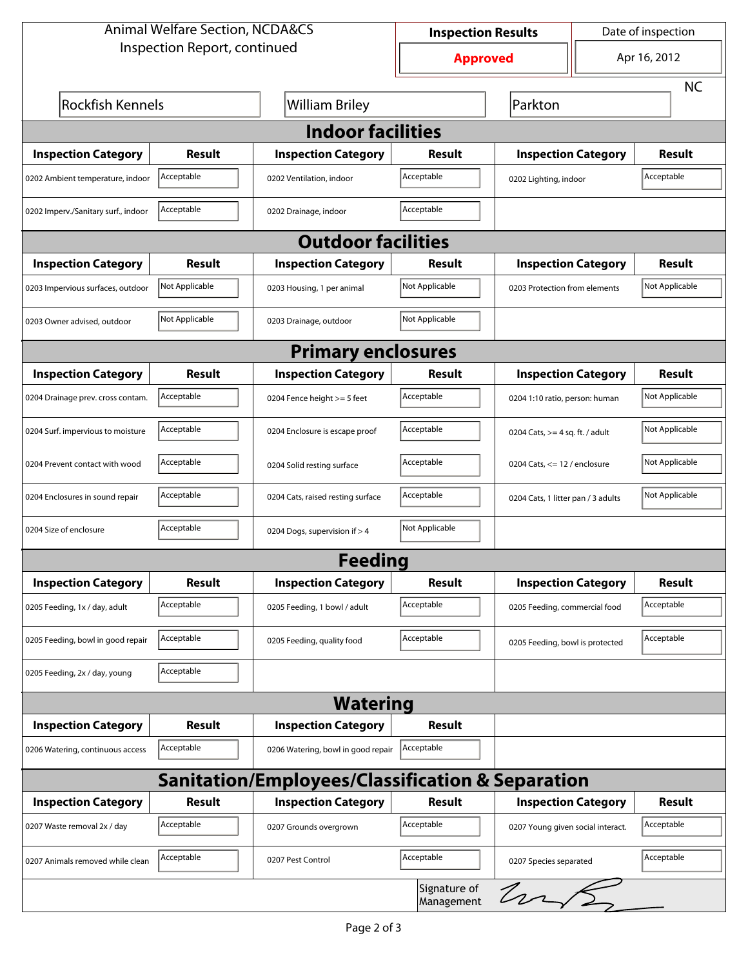| <b>Animal Welfare Section, NCDA&amp;CS</b>                  |                |                                    | <b>Inspection Results</b>  |                                     | Date of inspection |                |  |  |
|-------------------------------------------------------------|----------------|------------------------------------|----------------------------|-------------------------------------|--------------------|----------------|--|--|
| Inspection Report, continued                                |                |                                    | <b>Approved</b>            |                                     |                    | Apr 16, 2012   |  |  |
|                                                             |                |                                    |                            |                                     |                    | <b>NC</b>      |  |  |
| <b>Rockfish Kennels</b>                                     |                | <b>William Briley</b>              |                            | Parkton                             |                    |                |  |  |
| <b>Indoor facilities</b>                                    |                |                                    |                            |                                     |                    |                |  |  |
| <b>Inspection Category</b>                                  | Result         | <b>Inspection Category</b>         | Result                     | <b>Inspection Category</b>          |                    | Result         |  |  |
| 0202 Ambient temperature, indoor                            | Acceptable     | 0202 Ventilation, indoor           | Acceptable                 | Acceptable<br>0202 Lighting, indoor |                    |                |  |  |
| 0202 Imperv./Sanitary surf., indoor                         | Acceptable     | 0202 Drainage, indoor              | Acceptable                 |                                     |                    |                |  |  |
| <b>Outdoor facilities</b>                                   |                |                                    |                            |                                     |                    |                |  |  |
| <b>Inspection Category</b>                                  | Result         | <b>Inspection Category</b>         | Result                     | <b>Inspection Category</b>          |                    | Result         |  |  |
| 0203 Impervious surfaces, outdoor                           | Not Applicable | 0203 Housing, 1 per animal         | Not Applicable             | 0203 Protection from elements       |                    | Not Applicable |  |  |
| 0203 Owner advised, outdoor                                 | Not Applicable | 0203 Drainage, outdoor             | Not Applicable             |                                     |                    |                |  |  |
| <b>Primary enclosures</b>                                   |                |                                    |                            |                                     |                    |                |  |  |
| <b>Inspection Category</b>                                  | Result         | <b>Inspection Category</b>         | Result                     | <b>Inspection Category</b>          |                    | <b>Result</b>  |  |  |
| 0204 Drainage prev. cross contam.                           | Acceptable     | 0204 Fence height >= 5 feet        | Acceptable                 | 0204 1:10 ratio, person: human      |                    | Not Applicable |  |  |
| 0204 Surf. impervious to moisture                           | Acceptable     | 0204 Enclosure is escape proof     | Acceptable                 | 0204 Cats, $>=$ 4 sq. ft. / adult   |                    | Not Applicable |  |  |
| 0204 Prevent contact with wood                              | Acceptable     | 0204 Solid resting surface         | Acceptable                 | 0204 Cats, $<= 12$ / enclosure      |                    | Not Applicable |  |  |
| 0204 Enclosures in sound repair                             | Acceptable     | 0204 Cats, raised resting surface  | Acceptable                 | 0204 Cats, 1 litter pan / 3 adults  |                    | Not Applicable |  |  |
| 0204 Size of enclosure                                      | Acceptable     | 0204 Dogs, supervision if > 4      | Not Applicable             |                                     |                    |                |  |  |
|                                                             |                | <b>Feeding</b>                     |                            |                                     |                    |                |  |  |
| <b>Inspection Category</b>                                  | <b>Result</b>  | <b>Inspection Category</b>         | <b>Result</b>              | <b>Inspection Category</b>          |                    | <b>Result</b>  |  |  |
| 0205 Feeding, 1x / day, adult                               | Acceptable     | 0205 Feeding, 1 bowl / adult       | Acceptable                 | 0205 Feeding, commercial food       |                    | Acceptable     |  |  |
| 0205 Feeding, bowl in good repair                           | Acceptable     | 0205 Feeding, quality food         | Acceptable                 | 0205 Feeding, bowl is protected     |                    | Acceptable     |  |  |
| 0205 Feeding, 2x / day, young                               | Acceptable     |                                    |                            |                                     |                    |                |  |  |
| <b>Watering</b>                                             |                |                                    |                            |                                     |                    |                |  |  |
| <b>Inspection Category</b>                                  | <b>Result</b>  | <b>Inspection Category</b>         | <b>Result</b>              |                                     |                    |                |  |  |
| 0206 Watering, continuous access                            | Acceptable     | 0206 Watering, bowl in good repair | Acceptable                 |                                     |                    |                |  |  |
| <b>Sanitation/Employees/Classification &amp; Separation</b> |                |                                    |                            |                                     |                    |                |  |  |
| <b>Inspection Category</b>                                  | <b>Result</b>  | <b>Inspection Category</b>         | Result                     | <b>Inspection Category</b>          |                    | <b>Result</b>  |  |  |
| 0207 Waste removal 2x / day                                 | Acceptable     | 0207 Grounds overgrown             | Acceptable                 | 0207 Young given social interact.   |                    | Acceptable     |  |  |
| 0207 Animals removed while clean                            | Acceptable     | 0207 Pest Control                  | Acceptable                 | 0207 Species separated              |                    | Acceptable     |  |  |
|                                                             |                |                                    | Signature of<br>Management | $ln\sqrt{2}$                        |                    |                |  |  |